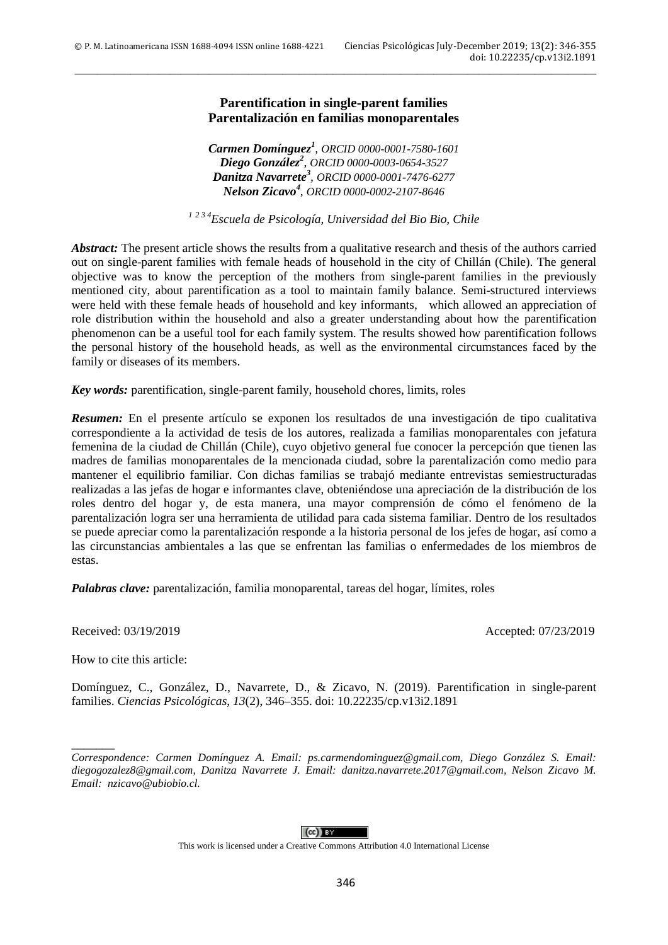## **Parentification in single-parent families Parentalización en familias monoparentales**

\_\_\_\_\_\_\_\_\_\_\_\_\_\_\_\_\_\_\_\_\_\_\_\_\_\_\_\_\_\_\_\_\_\_\_\_\_\_\_\_\_\_\_\_\_\_\_\_\_\_\_\_\_\_\_\_\_\_\_\_\_\_\_\_\_\_\_\_\_\_\_\_\_\_\_\_\_\_\_\_\_\_\_\_\_\_\_\_\_\_\_\_\_

*Carmen Domínguez<sup>1</sup> , ORCID [0000-0001-7580-1601](https://orcid.org/0000-0001-7580-1601) Diego González<sup>2</sup> , ORCID [0000-0003-0654-3527](https://orcid.org/0000-0003-0654-3527) Danitza Navarrete<sup>3</sup> , ORCID [0000-0001-7476-6277](https://orcid.org/0000-0001-7476-6277) Nelson Zicavo4 , ORCID [0000-0002-2107-8646](https://orcid.org/0000-0002-2107-8646)*

*<sup>1</sup> 2 3 4Escuela de Psicología, Universidad del Bio Bio, Chile*

*Abstract:* The present article shows the results from a qualitative research and thesis of the authors carried out on single-parent families with female heads of household in the city of Chillán (Chile). The general objective was to know the perception of the mothers from single-parent families in the previously mentioned city, about parentification as a tool to maintain family balance. Semi-structured interviews were held with these female heads of household and key informants, which allowed an appreciation of role distribution within the household and also a greater understanding about how the parentification phenomenon can be a useful tool for each family system. The results showed how parentification follows the personal history of the household heads, as well as the environmental circumstances faced by the family or diseases of its members.

*Key words:* parentification, single-parent family, household chores, limits, roles

*Resumen:* En el presente artículo se exponen los resultados de una investigación de tipo cualitativa correspondiente a la actividad de tesis de los autores, realizada a familias monoparentales con jefatura femenina de la ciudad de Chillán (Chile), cuyo objetivo general fue conocer la percepción que tienen las madres de familias monoparentales de la mencionada ciudad, sobre la parentalización como medio para mantener el equilibrio familiar. Con dichas familias se trabajó mediante entrevistas semiestructuradas realizadas a las jefas de hogar e informantes clave, obteniéndose una apreciación de la distribución de los roles dentro del hogar y, de esta manera, una mayor comprensión de cómo el fenómeno de la parentalización logra ser una herramienta de utilidad para cada sistema familiar. Dentro de los resultados se puede apreciar como la parentalización responde a la historia personal de los jefes de hogar, así como a las circunstancias ambientales a las que se enfrentan las familias o enfermedades de los miembros de estas.

*Palabras clave:* parentalización, familia monoparental, tareas del hogar, límites, roles

Received: 03/19/2019 Accepted: 07/23/2019

How to cite this article:

 $\overline{\phantom{a}}$ 

Domínguez, C., González, D., Navarrete, D., & Zicavo, N. (2019). Parentification in single-parent families. *Ciencias Psicológicas*, *13*(2), 346–355. doi: 10.22235/cp.v13i2.1891

This work is licensed under a Creative Commons Attribution 4.0 International License

*Correspondence: Carmen Domínguez A. Email: ps.carmendominguez@gmail.com, Diego González S. Email: diegogozalez8@gmail.com, Danitza Navarrete J. Email: danitza.navarrete.2017@gmail.com, Nelson Zicavo M. Email: nzicavo@ubiobio.cl.*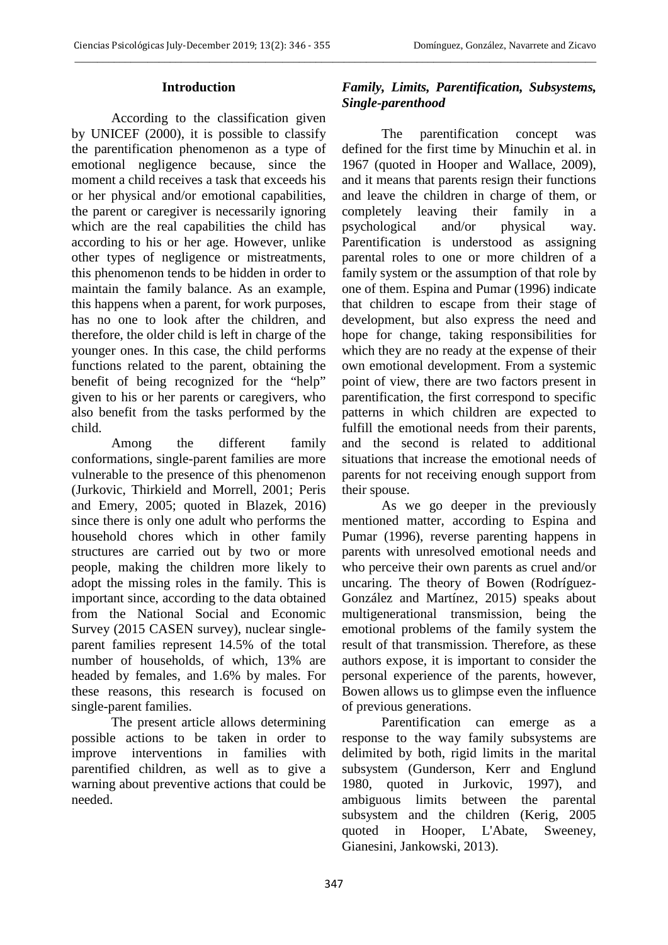## **Introduction**

According to the classification given by UNICEF (2000), it is possible to classify the parentification phenomenon as a type of emotional negligence because, since the moment a child receives a task that exceeds his or her physical and/or emotional capabilities, the parent or caregiver is necessarily ignoring which are the real capabilities the child has according to his or her age. However, unlike other types of negligence or mistreatments, this phenomenon tends to be hidden in order to maintain the family balance. As an example, this happens when a parent, for work purposes, has no one to look after the children, and therefore, the older child is left in charge of the younger ones. In this case, the child performs functions related to the parent, obtaining the benefit of being recognized for the "help" given to his or her parents or caregivers, who also benefit from the tasks performed by the child.

Among the different family conformations, single-parent families are more vulnerable to the presence of this phenomenon (Jurkovic, Thirkield and Morrell, 2001; Peris and Emery, 2005; quoted in Blazek, 2016) since there is only one adult who performs the household chores which in other family structures are carried out by two or more people, making the children more likely to adopt the missing roles in the family. This is important since, according to the data obtained from the National Social and Economic Survey (2015 CASEN survey), nuclear singleparent families represent 14.5% of the total number of households, of which, 13% are headed by females, and 1.6% by males. For these reasons, this research is focused on single-parent families.

 The present article allows determining possible actions to be taken in order to improve interventions in families with parentified children, as well as to give a warning about preventive actions that could be needed.

# *Family, Limits, Parentification, Subsystems, Single-parenthood*

The parentification concept was defined for the first time by Minuchin et al. in 1967 (quoted in Hooper and Wallace, 2009), and it means that parents resign their functions and leave the children in charge of them, or completely leaving their family in a psychological and/or physical way. Parentification is understood as assigning parental roles to one or more children of a family system or the assumption of that role by one of them. Espina and Pumar (1996) indicate that children to escape from their stage of development, but also express the need and hope for change, taking responsibilities for which they are no ready at the expense of their own emotional development. From a systemic point of view, there are two factors present in parentification, the first correspond to specific patterns in which children are expected to fulfill the emotional needs from their parents, and the second is related to additional situations that increase the emotional needs of parents for not receiving enough support from their spouse.

As we go deeper in the previously mentioned matter, according to Espina and Pumar (1996), reverse parenting happens in parents with unresolved emotional needs and who perceive their own parents as cruel and/or uncaring. The theory of Bowen (Rodríguez-González and Martínez, 2015) speaks about multigenerational transmission, being the emotional problems of the family system the result of that transmission. Therefore, as these authors expose, it is important to consider the personal experience of the parents, however, Bowen allows us to glimpse even the influence of previous generations.

Parentification can emerge as a response to the way family subsystems are delimited by both, rigid limits in the marital subsystem (Gunderson, Kerr and Englund 1980, quoted in Jurkovic, 1997), and ambiguous limits between the parental subsystem and the children (Kerig, 2005 quoted in Hooper, L'Abate, Sweeney, Gianesini, Jankowski, 2013).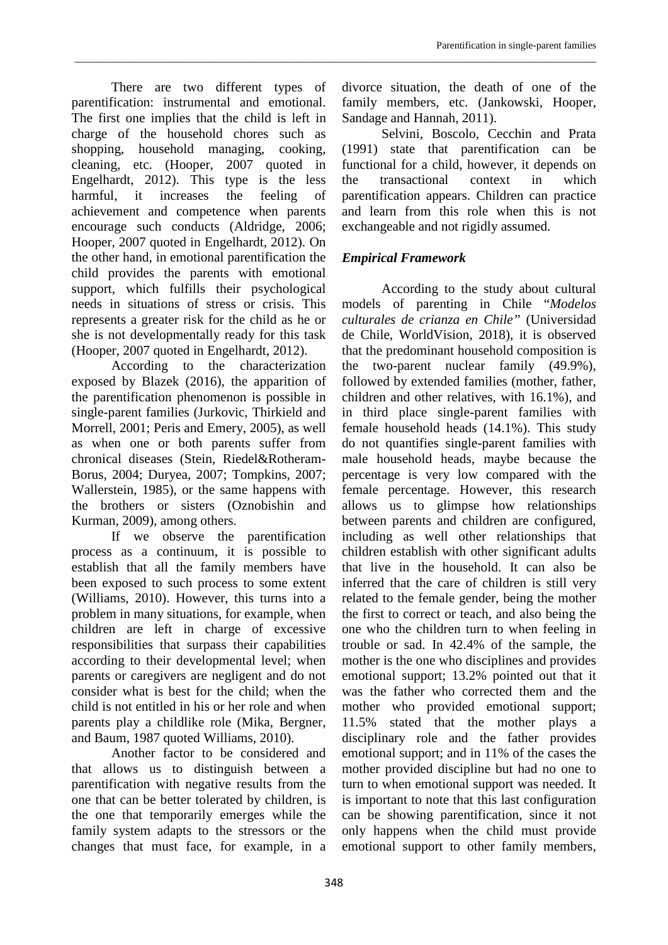There are two different types of parentification: instrumental and emotional. The first one implies that the child is left in charge of the household chores such as shopping, household managing, cooking, cleaning, etc. (Hooper, 2007 quoted in Engelhardt, 2012). This type is the less harmful, it increases the feeling of achievement and competence when parents encourage such conducts (Aldridge, 2006; Hooper, 2007 quoted in Engelhardt, 2012). On the other hand, in emotional parentification the child provides the parents with emotional support, which fulfills their psychological needs in situations of stress or crisis. This represents a greater risk for the child as he or she is not developmentally ready for this task (Hooper, 2007 quoted in Engelhardt, 2012).

According to the characterization exposed by Blazek (2016), the apparition of the parentification phenomenon is possible in single-parent families (Jurkovic, Thirkield and Morrell, 2001; Peris and Emery, 2005), as well as when one or both parents suffer from chronical diseases (Stein, Riedel&Rotheram-Borus, 2004; Duryea, 2007; Tompkins, 2007; Wallerstein, 1985), or the same happens with the brothers or sisters (Oznobishin and Kurman, 2009), among others.

If we observe the parentification process as a continuum, it is possible to establish that all the family members have been exposed to such process to some extent (Williams, 2010). However, this turns into a problem in many situations, for example, when children are left in charge of excessive responsibilities that surpass their capabilities according to their developmental level; when parents or caregivers are negligent and do not consider what is best for the child; when the child is not entitled in his or her role and when parents play a childlike role (Mika, Bergner, and Baum, 1987 quoted Williams, 2010).

Another factor to be considered and that allows us to distinguish between a parentification with negative results from the one that can be better tolerated by children, is the one that temporarily emerges while the family system adapts to the stressors or the changes that must face, for example, in a

divorce situation, the death of one of the family members, etc. (Jankowski, Hooper, Sandage and Hannah, 2011).

Selvini, Boscolo, Cecchin and Prata (1991) state that parentification can be functional for a child, however, it depends on the transactional context in which parentification appears. Children can practice and learn from this role when this is not exchangeable and not rigidly assumed.

# *Empirical Framework*

According to the study about cultural models of parenting in Chile "*Modelos culturales de crianza en Chile"* (Universidad de Chile, WorldVision, 2018), it is observed that the predominant household composition is the two-parent nuclear family (49.9%), followed by extended families (mother, father, children and other relatives, with 16.1%), and in third place single-parent families with female household heads (14.1%). This study do not quantifies single-parent families with male household heads, maybe because the percentage is very low compared with the female percentage. However, this research allows us to glimpse how relationships between parents and children are configured, including as well other relationships that children establish with other significant adults that live in the household. It can also be inferred that the care of children is still very related to the female gender, being the mother the first to correct or teach, and also being the one who the children turn to when feeling in trouble or sad. In 42.4% of the sample, the mother is the one who disciplines and provides emotional support; 13.2% pointed out that it was the father who corrected them and the mother who provided emotional support; 11.5% stated that the mother plays a disciplinary role and the father provides emotional support; and in 11% of the cases the mother provided discipline but had no one to turn to when emotional support was needed. It is important to note that this last configuration can be showing parentification, since it not only happens when the child must provide emotional support to other family members,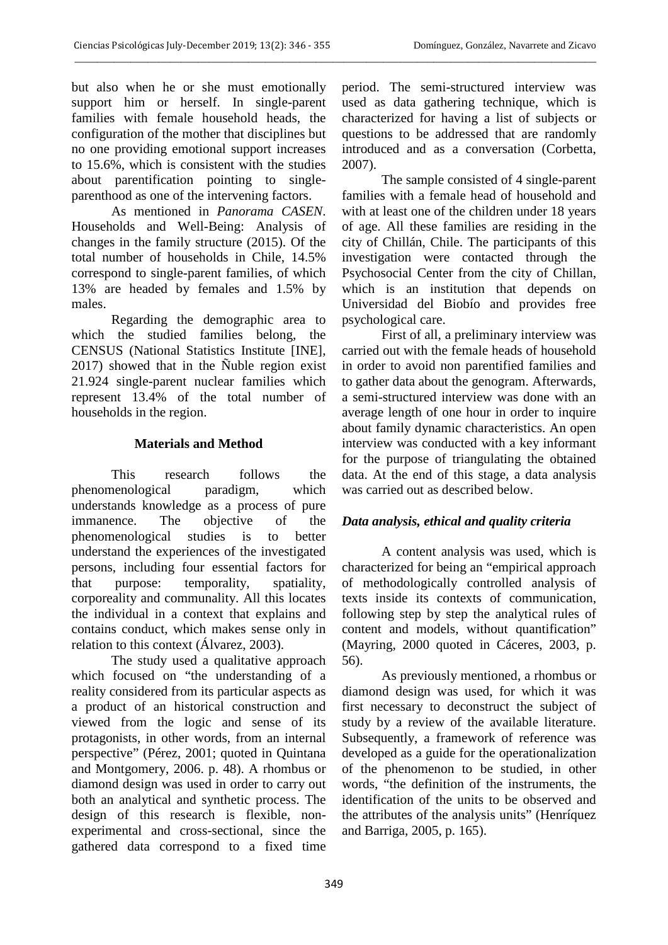but also when he or she must emotionally support him or herself. In single-parent families with female household heads, the configuration of the mother that disciplines but no one providing emotional support increases to 15.6%, which is consistent with the studies about parentification pointing to singleparenthood as one of the intervening factors.

As mentioned in *Panorama CASEN*. Households and Well-Being: Analysis of changes in the family structure (2015). Of the total number of households in Chile, 14.5% correspond to single-parent families, of which 13% are headed by females and 1.5% by males.

Regarding the demographic area to which the studied families belong, the CENSUS (National Statistics Institute [INE], 2017) showed that in the Ñuble region exist 21.924 single-parent nuclear families which represent 13.4% of the total number of households in the region.

## **Materials and Method**

This research follows the phenomenological paradigm, which understands knowledge as a process of pure immanence. The objective of the phenomenological studies is to better understand the experiences of the investigated persons, including four essential factors for that purpose: temporality, spatiality, corporeality and communality. All this locates the individual in a context that explains and contains conduct, which makes sense only in relation to this context (Álvarez, 2003).

The study used a qualitative approach which focused on "the understanding of a reality considered from its particular aspects as a product of an historical construction and viewed from the logic and sense of its protagonists, in other words, from an internal perspective" (Pérez, 2001; quoted in Quintana and Montgomery, 2006. p. 48). A rhombus or diamond design was used in order to carry out both an analytical and synthetic process. The design of this research is flexible, nonexperimental and cross-sectional, since the gathered data correspond to a fixed time

period. The semi-structured interview was used as data gathering technique, which is characterized for having a list of subjects or questions to be addressed that are randomly introduced and as a conversation (Corbetta, 2007).

The sample consisted of 4 single-parent families with a female head of household and with at least one of the children under 18 years of age. All these families are residing in the city of Chillán, Chile. The participants of this investigation were contacted through the Psychosocial Center from the city of Chillan, which is an institution that depends on Universidad del Biobío and provides free psychological care.

First of all, a preliminary interview was carried out with the female heads of household in order to avoid non parentified families and to gather data about the genogram. Afterwards, a semi-structured interview was done with an average length of one hour in order to inquire about family dynamic characteristics. An open interview was conducted with a key informant for the purpose of triangulating the obtained data. At the end of this stage, a data analysis was carried out as described below.

## *Data analysis, ethical and quality criteria*

A content analysis was used, which is characterized for being an "empirical approach of methodologically controlled analysis of texts inside its contexts of communication, following step by step the analytical rules of content and models, without quantification" (Mayring, 2000 quoted in Cáceres, 2003, p. 56).

As previously mentioned, a rhombus or diamond design was used, for which it was first necessary to deconstruct the subject of study by a review of the available literature. Subsequently, a framework of reference was developed as a guide for the operationalization of the phenomenon to be studied, in other words, "the definition of the instruments, the identification of the units to be observed and the attributes of the analysis units" (Henríquez and Barriga, 2005, p. 165).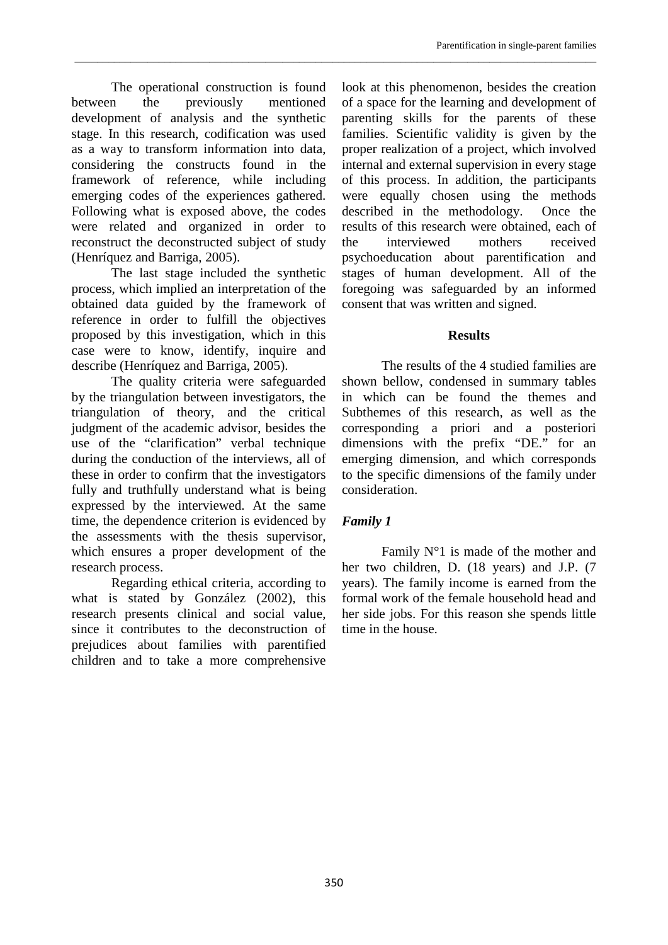The operational construction is found between the previously mentioned development of analysis and the synthetic stage. In this research, codification was used as a way to transform information into data, considering the constructs found in the framework of reference, while including emerging codes of the experiences gathered. Following what is exposed above, the codes were related and organized in order to reconstruct the deconstructed subject of study (Henríquez and Barriga, 2005).

The last stage included the synthetic process, which implied an interpretation of the obtained data guided by the framework of reference in order to fulfill the objectives proposed by this investigation, which in this case were to know, identify, inquire and describe (Henríquez and Barriga, 2005).

The quality criteria were safeguarded by the triangulation between investigators, the triangulation of theory, and the critical judgment of the academic advisor, besides the use of the "clarification" verbal technique during the conduction of the interviews, all of these in order to confirm that the investigators fully and truthfully understand what is being expressed by the interviewed. At the same time, the dependence criterion is evidenced by the assessments with the thesis supervisor, which ensures a proper development of the research process.

Regarding ethical criteria, according to what is stated by González (2002), this research presents clinical and social value, since it contributes to the deconstruction of prejudices about families with parentified children and to take a more comprehensive look at this phenomenon, besides the creation of a space for the learning and development of parenting skills for the parents of these families. Scientific validity is given by the proper realization of a project, which involved internal and external supervision in every stage of this process. In addition, the participants were equally chosen using the methods described in the methodology. Once the results of this research were obtained, each of the interviewed mothers received psychoeducation about parentification and stages of human development. All of the foregoing was safeguarded by an informed consent that was written and signed.

## **Results**

The results of the 4 studied families are shown bellow, condensed in summary tables in which can be found the themes and Subthemes of this research, as well as the corresponding a priori and a posteriori dimensions with the prefix "DE." for an emerging dimension, and which corresponds to the specific dimensions of the family under consideration.

# *Family 1*

\_\_\_\_\_\_\_\_\_\_\_\_\_\_\_\_\_\_\_\_\_\_\_\_\_\_\_\_\_\_\_\_\_\_\_\_\_\_\_\_\_\_\_\_\_\_\_\_\_\_\_\_\_\_\_\_\_\_\_\_\_\_\_\_\_\_\_\_\_\_\_\_\_\_\_\_\_\_\_\_\_\_\_\_\_\_\_\_\_\_\_\_\_

Family  $N^{\circ}1$  is made of the mother and her two children, D. (18 years) and J.P. (7 years). The family income is earned from the formal work of the female household head and her side jobs. For this reason she spends little time in the house.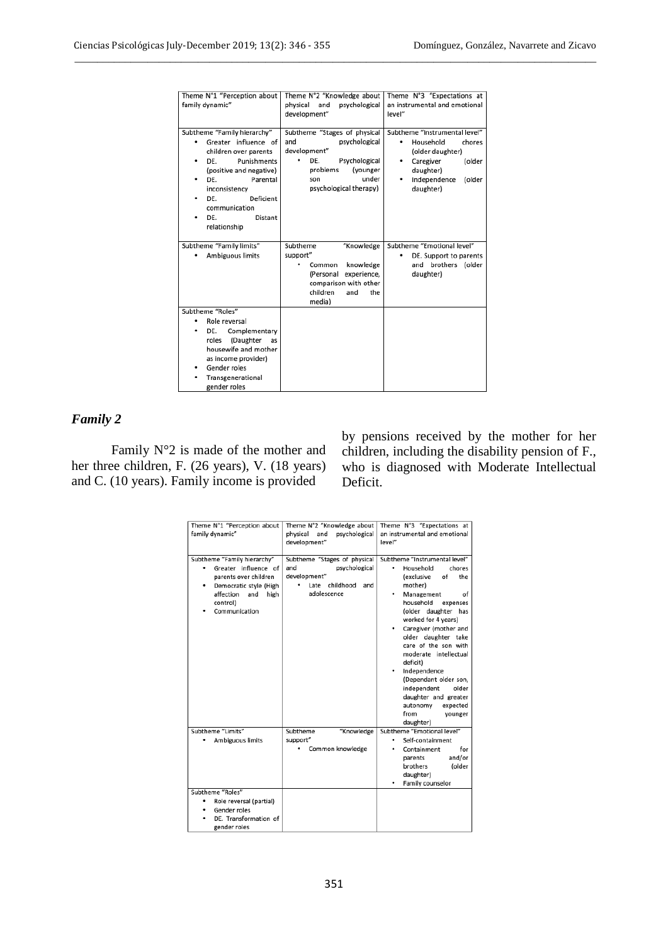| Theme N°1 "Perception about                                                                                                                                                                                           | Theme N°2 "Knowledge about                                                                                                                                     | Theme N°3 "Expectations at                                                                                                                                    |
|-----------------------------------------------------------------------------------------------------------------------------------------------------------------------------------------------------------------------|----------------------------------------------------------------------------------------------------------------------------------------------------------------|---------------------------------------------------------------------------------------------------------------------------------------------------------------|
| family dynamic"                                                                                                                                                                                                       | physical<br>and<br>psychological                                                                                                                               | an instrumental and emotional                                                                                                                                 |
|                                                                                                                                                                                                                       | development"                                                                                                                                                   | level"                                                                                                                                                        |
| Subtheme "Family hierarchy"<br>Greater influence of<br>٠<br>children over parents<br>DF.<br>Punishments<br>٠<br>(positive and negative)<br>DF.<br>Parental<br>inconsistency<br>DE.<br>Deficient<br>٠<br>communication | Subtheme "Stages of physical<br>and<br>psychological<br>development"<br>DE.<br>Psychological<br>(younger<br>problems<br>under<br>son<br>psychological therapy) | Subtheme "Instrumental level"<br>Household<br>chores<br>٠<br>(older daughter)<br>Caregiver<br>(older<br>٠<br>daughter)<br>Independence<br>(older<br>daughter) |
| DE.<br>Distant<br>٠<br>relationship                                                                                                                                                                                   |                                                                                                                                                                |                                                                                                                                                               |
| Subtheme "Family limits"                                                                                                                                                                                              | Subtheme<br>"Knowledge                                                                                                                                         | Subtheme "Emotional level"                                                                                                                                    |
| Ambiguous limits                                                                                                                                                                                                      | support"                                                                                                                                                       | DE. Support to parents                                                                                                                                        |
|                                                                                                                                                                                                                       | knowledge<br>Common<br>experience,<br>(Personal                                                                                                                | brothers (older<br>and<br>daughter)                                                                                                                           |
|                                                                                                                                                                                                                       | comparison with other<br>children<br>and<br>the                                                                                                                |                                                                                                                                                               |
|                                                                                                                                                                                                                       | media)                                                                                                                                                         |                                                                                                                                                               |
| Subtheme "Roles"                                                                                                                                                                                                      |                                                                                                                                                                |                                                                                                                                                               |
| Role reversal<br>٠                                                                                                                                                                                                    |                                                                                                                                                                |                                                                                                                                                               |
| DE.<br>Complementary<br>٠<br>roles<br>(Daughter<br>as<br>housewife and mother<br>as income provider)<br>Gender roles<br>٠<br>Transgenerational<br>gender roles                                                        |                                                                                                                                                                |                                                                                                                                                               |

#### *Family 2*

Family N°2 is made of the mother and her three children, F. (26 years), V. (18 years) and C. (10 years). Family income is provided

by pensions received by the mother for her children, including the disability pension of F., who is diagnosed with Moderate Intellectual Deficit.

| Theme N°1 "Perception about<br>family dynamic"                                                                                                                       | Theme N°2 "Knowledge about<br>and<br>physical<br>psychological<br>development"                               | Theme N°3 "Expectations at<br>an instrumental and emotional<br>level"                                                                                                                                                                                                                                                                                                                                                                                           |
|----------------------------------------------------------------------------------------------------------------------------------------------------------------------|--------------------------------------------------------------------------------------------------------------|-----------------------------------------------------------------------------------------------------------------------------------------------------------------------------------------------------------------------------------------------------------------------------------------------------------------------------------------------------------------------------------------------------------------------------------------------------------------|
| Subtheme "Family hierarchy"<br>Greater influence of<br>parents over children<br>Democratic style (High<br>٠<br>affection<br>and<br>high<br>control)<br>Communication | Subtheme "Stages of physical<br>psychological<br>and<br>development"<br>Late childhood<br>and<br>adolescence | Subtheme "Instrumental level"<br>٠<br>Household<br>chores<br><i>(exclusive</i><br>of<br>the<br>mother)<br>Management<br>of<br>household<br>expenses<br>(older daughter has<br>worked for 4 years)<br>Caregiver (mother and<br>older daughter take<br>care of the son with<br>moderate intellectual<br>deficit)<br>Independence<br>(Dependant older son,<br>independent<br>older<br>daughter and greater<br>autonomy<br>expected<br>from<br>younger<br>daughter) |
| Subtheme "Limits"<br>Ambiguous limits                                                                                                                                | "Knowledge<br>Subtheme<br>support"<br>Common knowledge                                                       | Subtheme "Emotional level"<br>Self-containment<br>٠<br>Containment<br>for<br>and/or<br>parents<br>brothers<br>(older<br>daughter)<br>Family counselor                                                                                                                                                                                                                                                                                                           |
| Subtheme "Roles"<br>Role reversal (partial)<br>٠<br>Gender roles<br>DE. Transformation of<br>gender roles                                                            |                                                                                                              |                                                                                                                                                                                                                                                                                                                                                                                                                                                                 |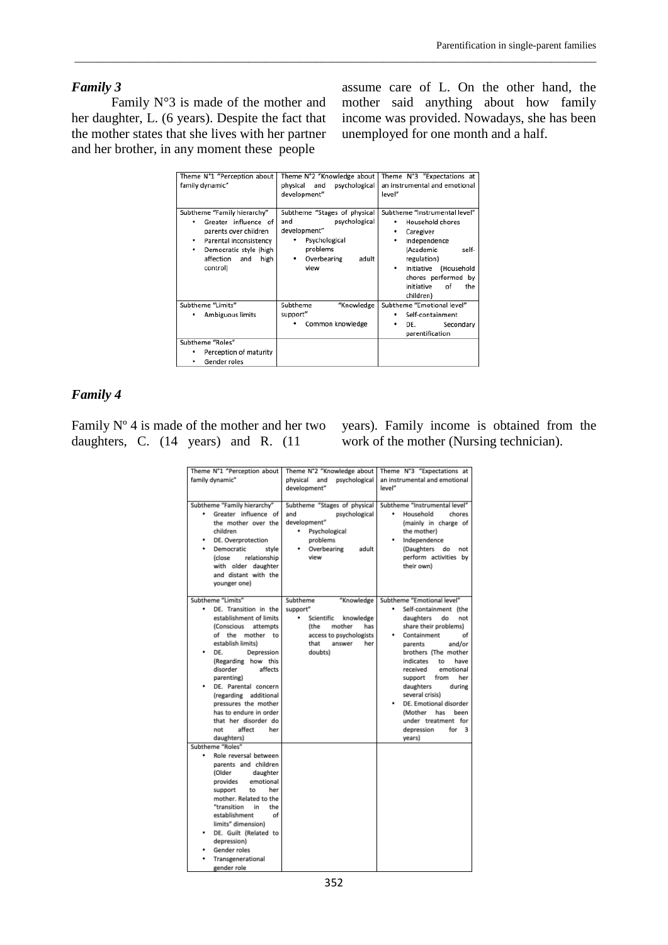#### *Family 3*

Family  $N^{\circ}3$  is made of the mother and her daughter, L. (6 years). Despite the fact that the mother states that she lives with her partner and her brother, in any moment these people

assume care of L. On the other hand, the mother said anything about how family income was provided. Nowadays, she has been unemployed for one month and a half.

| Theme N°1 "Perception about<br>family dynamic"                                                                                                                                     | Theme N°2 "Knowledge about<br>and<br>physical<br>psychological<br>development"                                                         | Theme N°3 "Expectations at<br>an instrumental and emotional<br>level"                                                                                                                                                    |
|------------------------------------------------------------------------------------------------------------------------------------------------------------------------------------|----------------------------------------------------------------------------------------------------------------------------------------|--------------------------------------------------------------------------------------------------------------------------------------------------------------------------------------------------------------------------|
| Subtheme "Family hierarchy"<br>Greater influence of<br>parents over children<br>Parental inconsistency<br>٠<br>Democratic style (high<br>٠<br>affection<br>high<br>and<br>control) | Subtheme "Stages of physical<br>psychological<br>and<br>development"<br>Psychological<br>problems<br>Overbearing<br>adult<br>٠<br>view | Subtheme "Instrumental level"<br>Household chores<br>Caregiver<br>Independence<br>٠<br>(Academic<br>self-<br>regulation)<br>(Household<br>Initiative<br>٠<br>chores performed by<br>initiative<br>of<br>the<br>children) |
| Subtheme "Limits"<br>Ambiguous limits                                                                                                                                              | Subtheme<br>"Knowledge<br>support"                                                                                                     | Subtheme "Emotional level"<br>Self-containment<br>٠<br>٠                                                                                                                                                                 |
|                                                                                                                                                                                    | Common knowledge                                                                                                                       | DE.<br>Secondary<br>parentification                                                                                                                                                                                      |
| Subtheme "Roles"<br>Perception of maturity                                                                                                                                         |                                                                                                                                        |                                                                                                                                                                                                                          |
| Gender roles<br>٠                                                                                                                                                                  |                                                                                                                                        |                                                                                                                                                                                                                          |

\_\_\_\_\_\_\_\_\_\_\_\_\_\_\_\_\_\_\_\_\_\_\_\_\_\_\_\_\_\_\_\_\_\_\_\_\_\_\_\_\_\_\_\_\_\_\_\_\_\_\_\_\_\_\_\_\_\_\_\_\_\_\_\_\_\_\_\_\_\_\_\_\_\_\_\_\_\_\_\_\_\_\_\_\_\_\_\_\_\_\_\_\_

## *Family 4*

Family Nº 4 is made of the mother and her two daughters, C. (14 years) and R. (11

years). Family income is obtained from the work of the mother (Nursing technician).

| Theme N°1 "Perception about      | Theme N°2 "Knowledge about       | Theme N°3 "Expectations at    |
|----------------------------------|----------------------------------|-------------------------------|
| family dynamic"                  | physical<br>and<br>psychological | an instrumental and emotional |
|                                  | development"                     | level"                        |
|                                  |                                  |                               |
| Subtheme "Family hierarchy"      | Subtheme "Stages of physical     | Subtheme "Instrumental level" |
| Greater influence of             | and<br>psychological             | Household<br>chores           |
| the mother over the              | development"                     | (mainly in charge of          |
| children                         | Psychological<br>٠               | the mother)                   |
| DE. Overprotection               | problems                         | Independence                  |
| Democratic<br>stvle              | Overbearing<br>adult             | (Daughters<br>do<br>not       |
| <i>(close</i><br>relationship    | view                             | perform activities by         |
| with older daughter              |                                  | their own)                    |
| and distant with the             |                                  |                               |
| younger one)                     |                                  |                               |
|                                  |                                  |                               |
| Subtheme "Limits"                | Subtheme<br>"Knowledge           | Subtheme "Emotional level"    |
| DE. Transition in the            | support"                         | Self-containment (the         |
| establishment of limits          | ۰<br>Scientific<br>knowledge     | daughters<br>do<br>not        |
| <b>(Conscious</b><br>attempts    | (the<br>mother<br>has            | share their problems)         |
| of the mother<br>to              | access to psychologists          | Containment<br>of             |
| establish limits)                | that<br>answer<br>her            | and/or<br>parents             |
| DE.<br>Depression                | doubts)                          | brothers (The mother          |
| (Regarding how this              |                                  | indicates<br>have<br>to       |
| disorder<br>affects              |                                  | emotional<br>received         |
| parenting)                       |                                  | support<br>from<br>her        |
| DE. Parental concern             |                                  | daughters<br>during           |
| (regarding additional            |                                  | several crisis)               |
| pressures the mother             |                                  | DE. Emotional disorder        |
| has to endure in order           |                                  | (Mother<br>has<br>been        |
| that her disorder do             |                                  | under treatment for           |
| affect<br>not<br>her             |                                  | depression<br>for<br>3        |
| daughters)                       |                                  | years)                        |
| Subtheme "Roles"                 |                                  |                               |
| Role reversal between            |                                  |                               |
| parents and children<br>(Older   |                                  |                               |
| daughter<br>emotional            |                                  |                               |
| provides<br>support<br>her<br>to |                                  |                               |
| mother. Related to the           |                                  |                               |
| "transition<br>in.<br>the        |                                  |                               |
| establishment<br>of              |                                  |                               |
| limits" dimension)               |                                  |                               |
| DE. Guilt (Related to            |                                  |                               |
| depression)                      |                                  |                               |
| Gender roles                     |                                  |                               |
| Transgenerational                |                                  |                               |
| gender role                      |                                  |                               |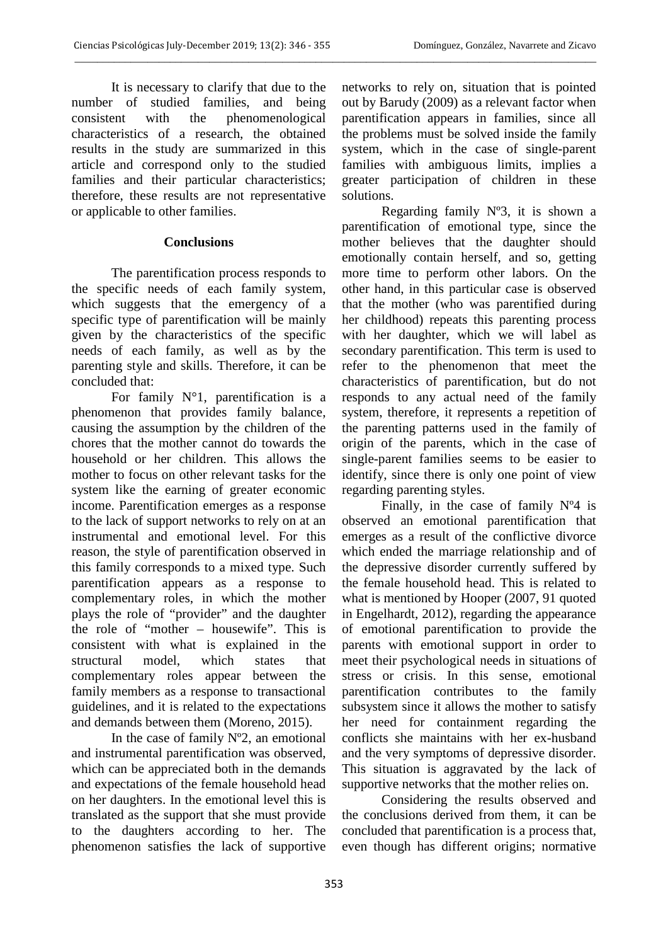It is necessary to clarify that due to the number of studied families, and being consistent with the phenomenological characteristics of a research, the obtained results in the study are summarized in this article and correspond only to the studied families and their particular characteristics; therefore, these results are not representative or applicable to other families.

#### **Conclusions**

The parentification process responds to the specific needs of each family system, which suggests that the emergency of a specific type of parentification will be mainly given by the characteristics of the specific needs of each family, as well as by the parenting style and skills. Therefore, it can be concluded that:

For family N°1, parentification is a phenomenon that provides family balance, causing the assumption by the children of the chores that the mother cannot do towards the household or her children. This allows the mother to focus on other relevant tasks for the system like the earning of greater economic income. Parentification emerges as a response to the lack of support networks to rely on at an instrumental and emotional level. For this reason, the style of parentification observed in this family corresponds to a mixed type. Such parentification appears as a response to complementary roles, in which the mother plays the role of "provider" and the daughter the role of "mother – housewife". This is consistent with what is explained in the structural model, which states that complementary roles appear between the family members as a response to transactional guidelines, and it is related to the expectations and demands between them (Moreno, 2015).

In the case of family Nº2, an emotional and instrumental parentification was observed, which can be appreciated both in the demands and expectations of the female household head on her daughters. In the emotional level this is translated as the support that she must provide to the daughters according to her. The phenomenon satisfies the lack of supportive

networks to rely on, situation that is pointed out by Barudy (2009) as a relevant factor when parentification appears in families, since all the problems must be solved inside the family system, which in the case of single-parent families with ambiguous limits, implies a greater participation of children in these solutions.

Regarding family  $N^{\circ}3$ , it is shown a parentification of emotional type, since the mother believes that the daughter should emotionally contain herself, and so, getting more time to perform other labors. On the other hand, in this particular case is observed that the mother (who was parentified during her childhood) repeats this parenting process with her daughter, which we will label as secondary parentification. This term is used to refer to the phenomenon that meet the characteristics of parentification, but do not responds to any actual need of the family system, therefore, it represents a repetition of the parenting patterns used in the family of origin of the parents, which in the case of single-parent families seems to be easier to identify, since there is only one point of view regarding parenting styles.

Finally, in the case of family  $N^{\circ}4$  is observed an emotional parentification that emerges as a result of the conflictive divorce which ended the marriage relationship and of the depressive disorder currently suffered by the female household head. This is related to what is mentioned by Hooper (2007, 91 quoted in Engelhardt, 2012), regarding the appearance of emotional parentification to provide the parents with emotional support in order to meet their psychological needs in situations of stress or crisis. In this sense, emotional parentification contributes to the family subsystem since it allows the mother to satisfy her need for containment regarding the conflicts she maintains with her ex-husband and the very symptoms of depressive disorder. This situation is aggravated by the lack of supportive networks that the mother relies on.

Considering the results observed and the conclusions derived from them, it can be concluded that parentification is a process that, even though has different origins; normative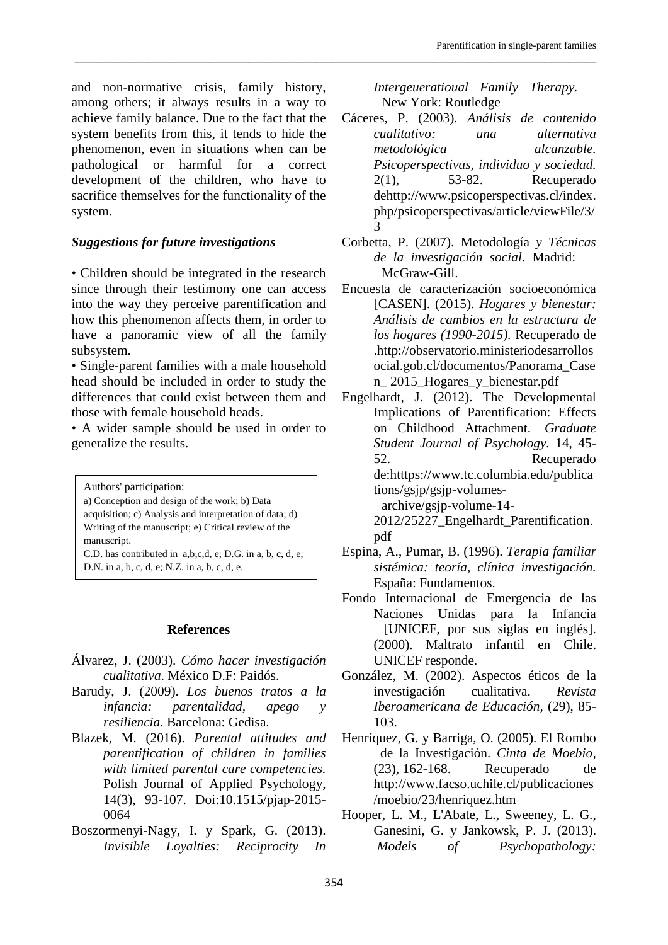and non-normative crisis, family history, among others; it always results in a way to achieve family balance. Due to the fact that the system benefits from this, it tends to hide the phenomenon, even in situations when can be pathological or harmful for a correct development of the children, who have to sacrifice themselves for the functionality of the system.

# *Suggestions for future investigations*

• Children should be integrated in the research since through their testimony one can access into the way they perceive parentification and how this phenomenon affects them, in order to have a panoramic view of all the family subsystem.

• Single-parent families with a male household head should be included in order to study the differences that could exist between them and those with female household heads.

• A wider sample should be used in order to generalize the results.

Authors' participation:

a) Conception and design of the work; b) Data acquisition; c) Analysis and interpretation of data; d) Writing of the manuscript; e) Critical review of the manuscript.

C.D. has contributed in a,b,c,d, e; D.G. in a, b, c, d, e; D.N. in a, b, c, d, e; N.Z. in a, b, c, d, e.

# **References**

- Álvarez, J. (2003). *Cómo hacer investigación cualitativa*. México D.F: Paidós.
- Barudy, J. (2009). *Los buenos tratos a la infancia: parentalidad, apego y resiliencia*. Barcelona: Gedisa.
- Blazek, M. (2016). *Parental attitudes and parentification of children in families with limited parental care competencies.*  Polish Journal of Applied Psychology, 14(3), 93-107. Doi:10.1515/pjap-2015- 0064
- Boszormenyi-Nagy, I. y Spark, G. (2013). *Invisible Loyalties: Reciprocity In*

*Intergeueratioual Family Therapy.*  New York: Routledge

\_\_\_\_\_\_\_\_\_\_\_\_\_\_\_\_\_\_\_\_\_\_\_\_\_\_\_\_\_\_\_\_\_\_\_\_\_\_\_\_\_\_\_\_\_\_\_\_\_\_\_\_\_\_\_\_\_\_\_\_\_\_\_\_\_\_\_\_\_\_\_\_\_\_\_\_\_\_\_\_\_\_\_\_\_\_\_\_\_\_\_\_\_

- Cáceres, P. (2003). *Análisis de contenido cualitativo: una alternativa metodológica alcanzable. Psicoperspectivas, individuo y sociedad.* 2(1), 53-82. Recuperado dehttp://www.psicoperspectivas.cl/index. php/psicoperspectivas/article/viewFile/3/ 3
- Corbetta, P. (2007). Metodología *y Técnicas de la investigación social*. Madrid: McGraw-Gill.

Encuesta de caracterización socioeconómica [CASEN]. (2015). *Hogares y bienestar: Análisis de cambios en la estructura de los hogares (1990-2015).* Recuperado de .http://observatorio.ministeriodesarrollos ocial.gob.cl/documentos/Panorama\_Case n\_ 2015\_Hogares\_y\_bienestar.pdf

Engelhardt, J. (2012). The Developmental Implications of Parentification: Effects on Childhood Attachment. *Graduate Student Journal of Psychology.* 14, 45- 52. Recuperado de:htttps://www.tc.columbia.edu/publica tions/gsjp/gsjp-volumesarchive/gsjp-volume-14-

2012/25227\_Engelhardt\_Parentification. pdf

- Espina, A., Pumar, B. (1996). *Terapia familiar sistémica: teoría, clínica investigación.* España: Fundamentos.
- Fondo Internacional de Emergencia de las Naciones Unidas para la Infancia [UNICEF, por sus siglas en inglés]. (2000). Maltrato infantil en Chile. UNICEF responde.
- González, M. (2002). Aspectos éticos de la investigación cualitativa. *Revista Iberoamericana de Educación,* (29), 85- 103.
- Henríquez, G. y Barriga, O. (2005). El Rombo de la Investigación. *Cinta de Moebio,* (23), 162-168. Recuperado de http://www.facso.uchile.cl/publicaciones /moebio/23/henriquez.htm
- Hooper, L. M., L'Abate, L., Sweeney, L. G., Ganesini, G. y Jankowsk, P. J. (2013). *Models of Psychopathology:*